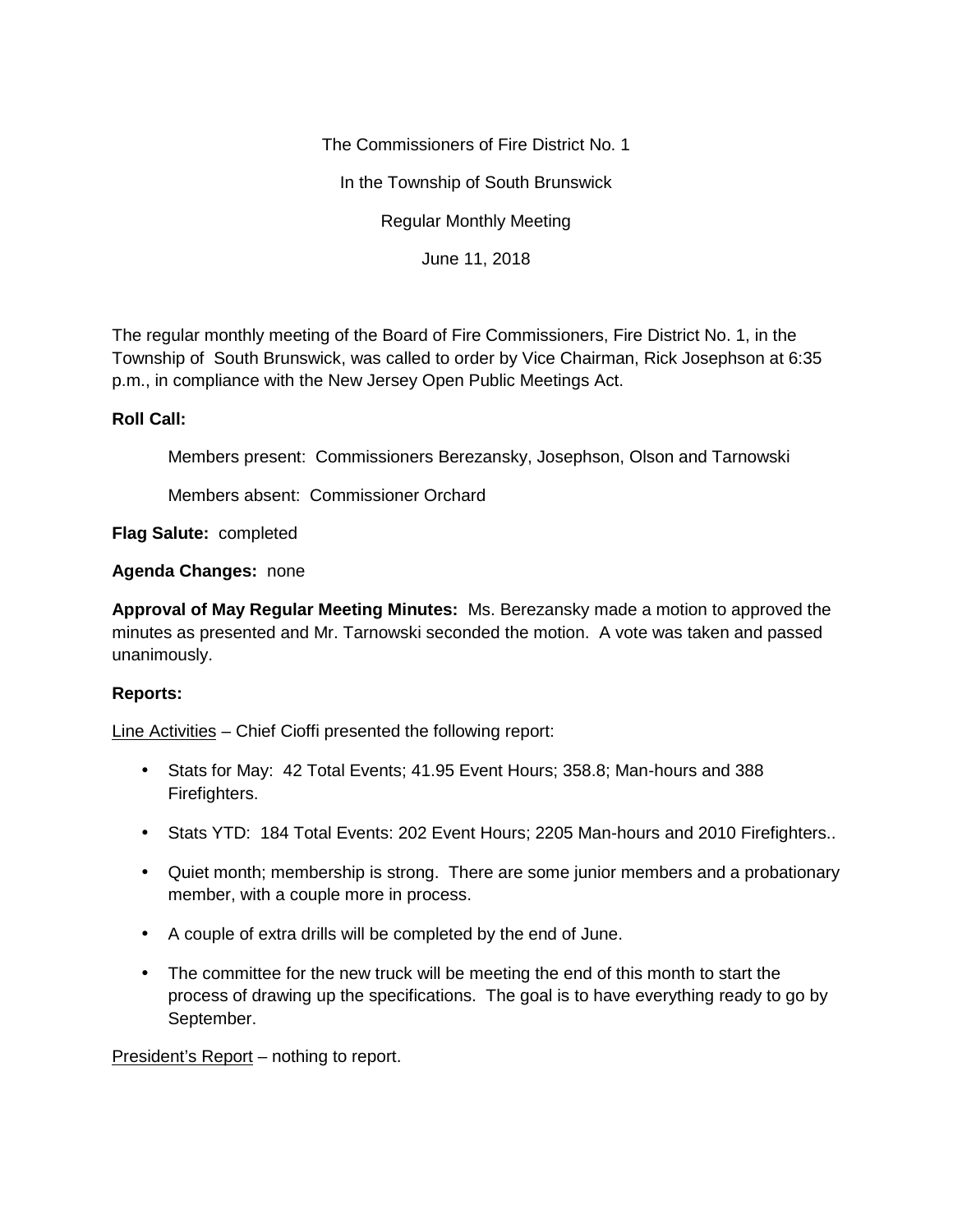The Commissioners of Fire District No. 1

In the Township of South Brunswick

Regular Monthly Meeting

June 11, 2018

The regular monthly meeting of the Board of Fire Commissioners, Fire District No. 1, in the Township of South Brunswick, was called to order by Vice Chairman, Rick Josephson at 6:35 p.m., in compliance with the New Jersey Open Public Meetings Act.

## **Roll Call:**

Members present: Commissioners Berezansky, Josephson, Olson and Tarnowski

Members absent: Commissioner Orchard

**Flag Salute:** completed

**Agenda Changes:** none

**Approval of May Regular Meeting Minutes:** Ms. Berezansky made a motion to approved the minutes as presented and Mr. Tarnowski seconded the motion. A vote was taken and passed unanimously.

## **Reports:**

Line Activities – Chief Cioffi presented the following report:

- Stats for May: 42 Total Events; 41.95 Event Hours; 358.8; Man-hours and 388 Firefighters.
- Stats YTD: 184 Total Events: 202 Event Hours; 2205 Man-hours and 2010 Firefighters..
- Quiet month; membership is strong. There are some junior members and a probationary member, with a couple more in process.
- A couple of extra drills will be completed by the end of June.
- The committee for the new truck will be meeting the end of this month to start the process of drawing up the specifications. The goal is to have everything ready to go by September.

President's Report – nothing to report.